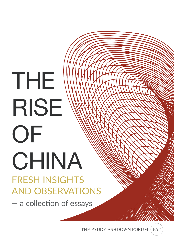# THE RISE **OF** CHINA FRESH INSIGHTS AND OBSERVATIONS

- a collection of essays

PAF THE PADDY ASHDOWN FORUM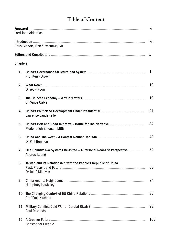## **Table of Contents**

|                 | Lord John Alderdice                                                                   | vi                        |
|-----------------|---------------------------------------------------------------------------------------|---------------------------|
|                 | Chris Gleadle, Chief Executive, PAF                                                   | viii                      |
|                 |                                                                                       | $\boldsymbol{\mathsf{X}}$ |
| <b>Chapters</b> |                                                                                       |                           |
| 1 <sub>1</sub>  | <b>Prof Kerry Brown</b>                                                               | $\mathbf{1}$              |
| 2.              | Dr Yeow Poon                                                                          | 10                        |
| 3.              | <b>Sir Vince Cable</b>                                                                | 19                        |
| 4.              | Laurence Vandewalle                                                                   | 27                        |
| 5.              | <b>Merlene Toh Emerson MBE</b>                                                        | 34                        |
| 6.              | Dr Phil Bennion                                                                       | 43                        |
| 7.              | One Country Two Systems Revisited - A Personal Real-Life Perspective<br>Andrew Leung  | 52                        |
| 8.              | Taiwan and its Relationship with the People's Republic of China<br>Dr Juli F. Minoves | 63                        |
| 9.              | <b>Humphrey Hawksley</b>                                                              | 74                        |
|                 | <b>Prof Emil Kirchner</b>                                                             | 85                        |
|                 | Paul Reynolds                                                                         | 93                        |
|                 | <b>Christopher Gleadle</b>                                                            | 105                       |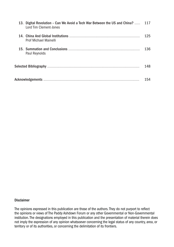| 13. Digital Revolution – Can We Avoid a Tech War Between the US and China?  117<br>Lord Tim Clement-Jones |     |
|-----------------------------------------------------------------------------------------------------------|-----|
| <b>Prof Michael Mainelli</b>                                                                              | 125 |
| Paul Reynolds                                                                                             | 136 |
|                                                                                                           | 148 |
|                                                                                                           | 154 |

#### **Disclaimer**

The opinions expressed in this publication are those of the authors. They do not purport to reflect the opinions or views of The Paddy Ashdown Forum or any other Governmental or Non-Governmental institution. The designations employed in this publication and the presentation of material therein does not imply the expression of any opinion whatsoever concerning the legal status of any country, area, or territory or of its authorities, or concerning the delimitation of its frontiers.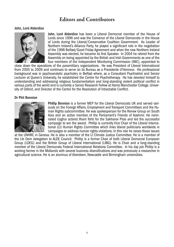## **Editors and Contributors**

#### John, Lord Alderdice



John, Lord Alderdice has been a Liberal Democrat member of the House of Lords since 1996 and was the Convenor of the Liberal Democrats in the House of Lords during the Liberal/Conservative Coalition Government. As Leader of Northern Ireland's Alliance Party, he played a significant role in the negotiation of the 1998 Belfast/Good Friday Agreement and when the new Northern Ireland Assembly was elected, he became its first Speaker. In 2004 he retired from the Assembly on being appointed by the British and Irish Governments as one of the four members of the Independent Monitoring Commission (IMC), appointed to

close down the operations of the paramilitary organizations. He was President of Liberal International from 2005 to 2009 and continues to serve on its Bureau as a Presidente d'Honneur. His professional background was in psychoanalytic psychiatry in Belfast where, as a Consultant Psychiatrist and Senior Lecturer at Queen's University, he established the Centre for Psychotherapy. He has devoted himself to understanding and addressing religious fundamentalism and long-standing violent political conflict in various parts of the world and is currently a Senior Research Fellow at Harris Manchester College, University of Oxford, and Director of the Centre for the Resolution of Intractable Conflict.

#### Dr Phil Bennion



Phillip Bennion is a former MEP for the Liberal Democrats UK and served variously on the Foreign Affairs, Employment and Transport Committees and the Human Rights subcommittee. He was spokesperson for the Renew Group on South Asia and an active member of the Parliament's Friends of Kashmir. He nominated Uyghur activist Ilham Tohti for the Sakharov Prize and led the successful campaign to win the award. Phillip is currently Vice Chair of the Liberal International (LI) Human Rights Committee which links liberal politicians worldwide in campaigns to address human rights violations. In this role he raises these issues

at the UNHRC in Geneva. He is also a member of the LI Climate Justice Committee. He is a member of the Lib Dem delegation to ALDE Council. Phillip is a former Chair of both Liberal Democrat European Group (LDEG) and the British Group of Liberal International (LIBG). He is Chair and a long-standing member of the Liberal Democrats Federal International Relations Committee. In his day job Phillip is a working farmer in the Midlands with several business diversifications and was previously a researcher in agricultural science. He is an alumnus of Aberdeen, Newcastle and Birmingham universities.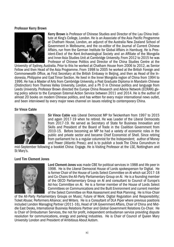#### Professor Kerry Brown



Kerry Brown is Professor of Chinese Studies and Director of the Lau China Insti tute at King's College, London. He is an Associate of the Asia Pacific Programme at Chatham House, London, an adjunct of the Australia New Zealand School of Government in Melbourne, and the co-editor of the Journal of Current Chinese Affairs, run from the German Institute for Global Affairs in Hamburg. He is President-Elect of the Kent Archaeological Society and an Affiliate of the Mongolia and Inner Asia Studies Unit at Cambridge University. From 2012 to 2015 he was Professor of Chinese Politics and Director of the China Studies Centre at the

University of Sydney, Australia. Prior to this he worked at Chatham House from 2006 to 2012, as Senior Fellow and then Head of the Asia Programme. From 1998 to 2005 he worked at the British Foreign and Commonwealth Office, as First Secretary at the British Embassy in Beijing, and then as Head of the In donesia, Philippine and East Timor Section. He lived in the Inner Mongolia region of China from 1994 to 1996. He has a Master of Arts from Cambridge University, a Post Graduate Diploma in Mandarin Chinese (Distinction) from Thames Valley University, London, and a Ph D in Chinese politics and language from Leeds University. Professor Brown directed the Europe China Research and Advice Network (ECRAN) giving policy advice to the European External Action Service between 2011 and 2014. He is the author of almost 20 books on modern Chinese politics, and has written for every major international news outlet, and been interviewed by every major news channel on issues relating to contemporary China.

#### Sir Vince Cable



Sir Vince Cable was Liberal Democrat MP for Twickenham from 1997 to 2015 and again 2017-19 when he retired. He was Leader of the Liberal Democrats from 2017-19. He served as Secretary of State for Business Innovation and Skills and President of the Board of Trade in the Coalition Government from 2010-15. Before becoming an MP he had a variety of economic roles in the public and private sector and became Chief Economist of Shell. Since retiring from parliament he is a regular columnist for the Independent; author of Money and Power (Atlantic Press); and is to publish a book The China Conundrum in

mid-September following a booklet China: Engage. He is Visiting Professor at the LSE, Nottingham and St Mary's.

#### Lord Tim Clement Jones



Lord Clement-Jones was made CBE for political services in 1988 and life peer in 1998. He is the Liberal Democrat House of Lords spokesperson for Digital. He is former Chair of the House of Lords Select Committee on AI which sat 2017-18 and Co-Chairs the All-Party Parliamentary Group on AI. He is a founding member of the OECD Parliamentary Group on AI and consultant to Council of Europe's Ad-hoc Committee on AI. He is a former member of the House of Lords Select Committees on Communications and the Built Environment and current member of the Select Committee on Risk Assessment and Risk Planning. He is Vice-Chair

of the All-Party Parliamentary Groups on Music; Future of Work; Digital Regulation and Responsibility; Ticket Abuse; Performers Alliance; and Writers. He is a Consultant of DLA Piper where previous positions included London Managing Partner (2011-16), Head of UK Government Affairs, Chair of China and Middle East Desks, International Business Relations Partner and Global Government Relations Co-Chair. He is Chair of Ombudsman Services, the not for profit, independent ombudsman service providing dispute resolution for communications, energy and parking industries. He is Chair of Council of Queen Mary University London and President of Ambitious About Autism.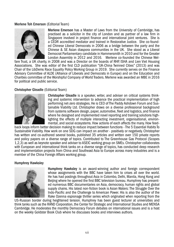#### Merlene Toh Emerson (Editorial Team)



Merlene Emerson has a Master of Laws from the University of Cambridge, has practised as a solicitor in the city of London and as partner of a law firm in Singapore involved in project finance and international joint ventures. She is a CEDR accredited mediator and trained in Restorative Justice. She co-found ed Chinese Liberal Democrats in 2006 as a bridge between the party and the Chinese & SE Asian diaspora communities in the UK. She stood as a Liberal Democrat Parliamentary candidate in Hammersmith in 2010 and for the Greater London Assembly in 2012 and 2016. Merlene co-founded the Chinese Wel-

fare Trust, a UK charity, in 2008 and was a Director on the boards of RHP, ISHA and Lien Viet Housing Associations. She was editor of the first CLD publication "UK-China Twinned Cities" (2013) and was Chair of the LibDems Race Equality Policy Working Group in 2019. She currently serves on the Finance Advisory Committee of ALDE (Alliance of Liberals and Democrats in Europe) and on the Education and Charities committee of the Worshipful Company of World Traders. Merlene was awarded an MBE in 2016 for political and public service.

#### Christopher Gleadle (Editorial Team)



Christopher Gleadle is a speaker, writer, and adviser on critical systems think ing and systemic intervention to advance the practical implementation of high performing net-zero strategies. He is CEO of The Paddy Ashdown Forum and Sustainable Viability Ltd. Christopher draws on a diverse professional background from systems software design, paper, automotive, fleet and logistics, and finance where he designed and implemented novel reporting and training solutions highlighting the effects of multiple interacting investment, organisational, environmental, and social ecosystems. How actions of each affects the many. How feed-

back loops inform better decision making to reduce impact between functions - The 5 Essential Habits To Sustainable Viability. How work on one SDG can impact on another - positively or negatively. Christopher has written and co-authored several books, published 35 articles and written over 150 private reports and policy papers on a diverse range of topics. Contributed to The Greenhouse Gas Protocol (Scopes 1,2,3) as well as keynote speaker and adviser to ASEIC working group on SMEs. Christopher collaborates with European and international think tanks on a diverse range of topics, has conducted deep research and implementation projects from China and Southeast Asia to Europe across many industries and is a member of the China Foreign Affairs working group.

#### Humphrey Hawksley



Humphrey Hawksley is an award-winning author and foreign correspondent whose assignments with the BBC have taken him to crises all over the world. He has had postings throughout Asia in Colombo, Delhi, Manila, Hong Kong and Beijing where he opened the first BBC television bureau. Humphrey has present ed numerous BBC documentaries on Asia, democracy, human rights and global supply chains. His latest non-fiction book is Asian Waters: The Struggle Over the Indo-Pacific and the Challenge to American Power. His is also the author of the Rake Ozenna espionage thriller series which originated when reporting from the

US-Russian border during heightened tension. Humphrey has been guest lecturer at universities and think tanks such as the RAND Corporation, the Center for Strategic and International Studies and MENSA Cambridge. He moderates the monthly Democracy Forum debates on international issues and is a host on the weekly Goldster Book Club where he discusses books and interviews authors.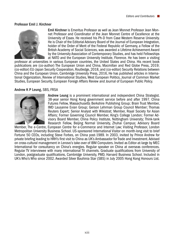#### Professor Emil J. Kirchner



Emil Kirchner is Emeritus Professor as well as Jean Monnet Professor Jean Monnet Professor and Coordinator of the Jean Monnet Centre of Excellence at the University of Essex. He received his Ph-D from Case Western Reserve University. He is Chair of the Editorial Advisory Board of the Journal of European Integration, holder of the Order of Merit of the Federal Republic of Germany, a Fellow of the British Academy of Social Sciences, was awarded a Lifetime Achievement Award by the University Association of Contemporary Studies, and has held Fellowships at NATO and the European University Institute, Florence. He has been a visiting

professor at universities in various European countries, the United States and China. His recent book publications are (co-author) The European Union and China, Macmillan and Red Globe Press, 2019; (co-editor) EU-Japan Security Cooperation, Routledge, 2018, and (co-editor) Security Relations between China and the European Union, Cambridge University Press, 2016, He has published articles in Interna tional Organization, Review of International Studies, West European Politics, Journal of Common Market Studies, European Security, European Foreign Affairs Review and Journal of European Public Policy.

#### Andrew K P Leung, SBS, FRSA



Andrew Leung is a prominent international and independent China Strategist. 38-year senior Hong Kong government service before and after 1997. China Futures Fellow, Massachusetts Berkshire Publishing Group; Brain Trust Member, IMD Lausanne Evian Group; Gerson Lehrman Group Council Member; Thomas Reuters Expert; Senior Analyst with Wikistrat; Member, Royal Society for Asian Affairs; Former Governing Council Member, King's College London; Former Advisory Board Member, China Policy Institute, Nottingham University; Think-tank Research Fellow, Beijing Normal University, Zhuhai Campus; Advisory Board

Member, The e-Centre, European Centre for e-Commerce and Internet Law; Visiting Professor, London Metropolitan University Business School. US-sponsored International Visitor on month-long visit to brief Fortune 50 CEOs, including Steve Forbes, on China post-1989. In 2003, invited by Prince Andrew for private briefing leading to HRH's first visit to China as UK's Ambassador for Trade and Investment. Advised on cross-cultural management in Lenovo's take-over of IBM Computers. Invited as Editor-at-large by MEC International for consultancy on China's energies. Regular speaker on China at overseas conferences. Regular TV interviewee with many international TV channels. Graduate qualifications from University of London, postgraduate qualifications, Cambridge University, PMD, Harvard Business School. Included in UK's Who's Who since 2002. Awarded Silver Bauhinia Star (SBS) in July 2005 Hong Kong Honours List.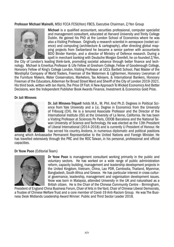#### Professor Michael Mainelli, MStJ FCCA FCSI(Hon) FBCS, Executive Chairman, Z/Yen Group



Michael is a qualified accountant, securities professional, computer specialist and management consultant, educated at Harvard University and Trinity College Dublin. He gained his PhD at the London School of Economics where he was also a Visiting Professor. Originally a research scientist in aerospace (rocket sci ence) and computing (architecture & cartography), after directing global mapping projects from Switzerland he became a senior partner with accountants BDO Binder Hamlyn, and a director of Ministry of Defence research. During a spell in merchant banking with Deutsche Morgan Grenfell, he co-founded Z/Yen,

the City of London's leading think-tank, promoting societal advance through better finance and technology. Michael is Emeritus Professor & Life Fellow at Gresham College, Fellow of Goodenough College, Honorary Fellow of King's College London, Visiting Professor at UCL's Bartlett School, Past Master of the Worshipful Company of World Traders, Freeman of the Watermen & Lightermen, Honorary Liveryman of the Furniture Makers, Water Conservators, Marketers, Tax Advisers, & International Bankers, Honorary Freeman of the Educators, Alderman for Broad Street Ward and Sheriff of the City of London 2019-2021. His third book, written with Ian Harris, The Price Of Fish: A New Approach To Wicked Economics And Better Decisions, won the Independent Publisher Book Awards Finance, Investment & Economics Gold Prize.

#### Dr Juli Minoves



Dr. Juli Minoves-Triquell holds M.A., M. Phil. And Ph.D. Degrees in Political Science from Yale University and a Lic. Degree in Economics from the University of Fribourg (CH). He is a tenured Associate Professor and the Director of the International Institute (ISI) at the University of La Verne, California. He has been a Visiting Professor at Sciences Po Paris, CIDOB Barcelona and the National Taiwan University of Science and Technology. He was elected as the 13th President of Liberal International (2014-2018) and is currently LI President of Honour. He has served his country, Andorra, in numerous diplomatic and political positions

among which Ambassador Permanent Representative to the United Nations and Foreign Minister. He has travelled extensively through the PRC and the ROC Taiwan, in his personal, professional and official capacities.

#### Dr Yeow Poon (Editorial Team)



Dr Yeow Poon is management consultant working primarily in the public and voluntary sectors. He has worked on a wide range of public administration reform, capacity building, management and leadership development projects in the United Kingdom, Vietnam, China, Lao PDR, Cambodia, Thailand, Myanmar, Bangladesh, South Africa and Greece. He has particular interest in cross-cultural governance, leadership, management and organisation development issues. Yeow was born in Malaysia, attended University in the UK and naturalised as a British citizen. He is the Chair of the Chinese Community Centre – Birmingham,

President of England China Business Forum, Chair of Arts in the Yard, Chair of Chinese Liberal Democrats, a Trustee of Chinese Welfare Trust and a core member of Covid-19 Anti-Racism Group. He was The Business Desk Midlands Leadership Award Winner: Public and Third Sector Leader 2018.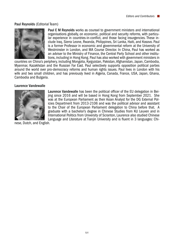#### Paul Reynolds (Editorial Team)



Paul E M Reynolds works as counsel to government ministers and international organisations globally, on economic, political and security reforms, with particular experience in countries-in-conflict, and those facing insurgencies. These in clude Iraq, Sierra Leone, Rwanda, Philippines, Sri Lanka, Haiti, and Kosovo. Paul is a former Professor in economic and governmental reform at the University of Westminster in London, and MA Course Director. In China, Paul has worked as an adviser to the Ministry of Finance, the Central Party School and other institutions, including in Hong Kong. Paul has also worked with government ministers in

countries on China's periphery, including Mongolia, Kyrgyzstan, Pakistan, Afghanistan, Japan, Cambodia, Myanmar, Kazakhstan and the Russian Far East. Paul selectively supports opposition political parties around the world over pro-democracy reforms and human rights issues. Paul lives in London with his wife and two small children, and has previously lived in Algeria, Canada, France, USA, Japan, Ghana, Cambodia and Bulgaria.

#### Laurence Vandewalle



Laurence Vandewalle has been the political officer of the EU delegation in Beijing since 2016 and will be based in Hong Kong from September 2021. She was at the European Parliament as their Asian Analyst for the DG External Policies Department from 2013-2106 and was the political advisor and assistant to the Chair of the European Parliament delegation to China before that. A graduate with a bachelor's degree in Chinese Studies from KU Leuven and in International Politics from University of Scranton, Laurence also studied Chinese Language and Literature at Tianjin University and is fluent in 3 languages: Chi-

nese, Dutch, and English.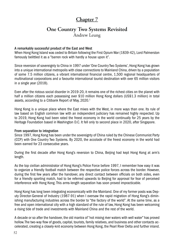## **Chapter 7**

### **One Country Two Systems Revisited** Andrew Leung

#### A remarkably successful product of the East and West

When Hong Kong Island was ceded to Britain following the First Opium War (1839-42), Lord Palmerston famously belittled it as a "barren rock with hardly a house upon it".

Since reversion of sovereignty to China in 1997 under 'One Country Two Systems', Hong Kong has grown into a unique international metropolis with close connections to Mainland China, driven by a population of some 7.5 million citizens, a vibrant international financial centre, 1,500 regional headquarters of multinational corporations and a favourite international tourist destination with over 65 million visitors in a single year (2018).

Even after the riotous social disorder in 2019-20, it remains one of the richest cities on the planet with half a million citizens each possessing over \$10 million Hong Kong dollars (US\$1.3 million) in total assets, according to a Citibank Report of May, 2020.<sup>1</sup>

Hong Kong is a unique place where the East mixes with the West, in more ways than one. Its rule of law based on English common law with an independent judiciary has remained highly respected. Up to 2019, Hong Kong had been rated the freest economy in the world continually for 25 years by the Heritage Foundation based in Washington D.C. It fell only to second place in 2020, after Singapore.

#### From separation to integration

Since 1997, Hong Kong has been under the sovereignty of China ruled by the Chinese Communist Party (CCP) with One Country Two Systems. By 2020, the accolade of the freest economy in the world had been earned for 23 consecutive years.

During the first decade after Hong Kong's reversion to China, Beijing had kept Hong Kong at arm's length.

As the top civilian administrator of Hong Kong's Police Force before 1997, I remember how easy it was to organize a friendly football match between the respective police forces across the border. However, during the first few years after the handover, any direct contact between officials on both sides, even for a friendly sporting match, had to be referred upwards to Beijing for approval for fear of perceived interference with Hong Kong. This arms-length separation has soon proved impracticable.

Hong Kong has long been integrating economically with the Mainland. One of my former posts was Deputy Director-General of Industry (1987-91) when I oversaw the rapid migration of Hong Kong's diminishing manufacturing industries across the border to "the factory of the world". At the same time, as a free and open international city with a high standard of the rule of law, Hong Kong has been welcoming a rising tide of trade and investments with Mainland China and the rest of the world.

A decade or so after the handover, the old mantra of "not mixing river waters with well water" has proved hollow. The two-way flow of goods, capital, tourists, family relatives, and business and other contacts accelerated, creating a closely-knit economy between Hong Kong, the Pearl River Delta and further inland.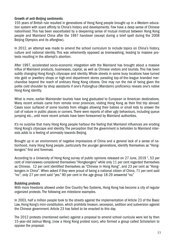#### Growth of anti-Beijing sentiments

155 years of British rule resulted in generations of Hong Kong people brought up in a Western education system with scant affinity to China's history and developments. Few have a deep sense of Chinese nationhood. This has been exacerbated by a deepening sense of mutual mistrust between Hong Kong people and Mainland China after the 1997 handover (except during a brief spell during the 2008 Beijing Olympics and its afterglow).

In 2012, an attempt was made to amend the school curriculum to include topics on China's history, culture and national identity. This was vehemently opposed as brainwashing, leading to massive protests resulting in the attempt's abortion.

After 1997, accelerated socio-economic integration with the Mainland has brought about a massive influx of Mainland products, businesses, capital, as well as Chinese visitors and tourists. This has been subtly changing Hong Kong's cityscape and identity. Whole streets in some busy locations have turned into gold or jewellery shops or high-end department stores parading top-of-the-league branded merchandise beyond the reach of ordinary Hong Kong citizens. One may run the risk of being given the polite cold shoulder by shop assistants if one's Putonghua (Mandarin) proficiency reveals one's native Hong Kong identity.

What is more, earlier Mainlander tourists have long graduated to European or American destinations. Many recent arrivals came from remote inner provinces, visiting Hong Kong as their first trip abroad. Cases soon surfaced of some tourists from villages allowing their babies or small kids to answer the call of nature in public places or corners. There were reports of other ugly behaviours, including queue jumping etc., until more recent arrivals have been forewarned by Mainland authorities.

It's no surprise that many Hong Kong people harbour the feeling that Mainland influences are eroding Hong Kong's cityscape and identity. The perception that the government is beholden to Mainland interests adds to a feeling of animosity towards Beijing.

Brought up in an environment of negative impressions of China and a general lack of a sense of nationhood, many Hong Kong people, particularly the younger generations, identify themselves as "Hongkongers" first and foremost.

According to a University of Hong Kong survey of public opinions released on 27 June, 2019  $^2$ , 53 per cent of interviewees considered themselves "Hongkongers" while only 11 per cent regarded themselves as Chinese. 12 per cent identified themselves as "Chinese in Hong Kong", and 23 per cent as "Hongkongers in China". When asked if they were proud of being a national citizen of China, 71 per cent said "no"; only 27 per cent said "yes." 90 per cent in the age group 18-29 answered "no."

#### Bubbling protests

With more freedoms allowed under One Country Two Systems, Hong Kong has become a city of regular organized protests. The following are milestone examples.

In 2003, half a million people took to the streets against the implementation of Article 23 of the Basic Law, Hong Kong's mini-constitution, which prohibits treason, secession, sedition and subversion against the Chinese government. Article 23 has failed to be enacted to this day.

The 2012 protests (mentioned earlier) against a proposal to amend school curricula were led by then 15-year-old Joshua Wong, (now a Hong Kong protest icon), who formed a group called Scholarism to oppose the proposal.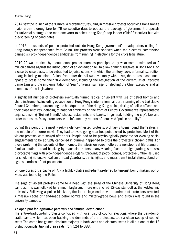#### *Andrew Leung*

2014 saw the launch of the "Umbrella Movement", resulting in massive protests occupying Hong Kong's major urban thoroughfare for 79 consecutive days to oppose the package of government proposals for universal suffrage (one-man-one-vote) to select Hong Kong's top leader (Chief Executive) but with pre-screening of candidates.

In 2016, thousands of people protested outside Hong Kong government's headquarters calling for Hong Kong's independence from China. The protests were sparked when the electoral commission banned six pro-independence candidates from running in elections for the city's legislature.

2019-20 was marked by monumental protest marches participated by what some estimated at 2 million citizens against the introduction of an extradition bill to allow criminal fugitives in Hong Kong, on a case-by-case basis, to be extradited to jurisdictions with which the territory lacks a formal extradition treaty, including mainland China. Even after the bill was eventually withdrawn, the protests continued apace to press home their "five demands", including the resignation of the current Chief Executive Carrie Lam and the implementation of "real" universal suffrage for electing the Chief Executive and all members of the legislature.

A significant number of protesters eventually turned radical or violent with use of petrol bombs and sharp instruments, including occupation of Hong Kong's international airport, storming of the Legislative Council Chambers, surrounding the headquarters of the Hong Kong police, doxing of police officers and their close relatives, defacing of national emblems on the front of Central Government's representative organs, trashing "Beijing-friendly" shops, restaurants and banks, in general, holding the city's law and order to ransom. Many protesters were inflamed by reports of perceived "police brutality".

During this period of almost weekly violence-infested protests, ordinary citizens found themselves in the middle of a horror movie. They had to avoid going near hotspots picked by protesters. Most of the violent protests were staged after dark. People had to be psychologically prepared for evening social engagements to be abruptly cancelled if journeys happened to cross the protesters' chosen paths. For those preferring the security of their homes, the television screen offered a nonstop real-life drama of familiar routine – road-blocking by black-clad rioters' many wearing face and high-grade gas-masks, provocative flags with pro-independence slogans, throwing of petrol bombs, protective umbrellas used for shielding rioters, vandalism of road guardrails, traffic lights, and mass transit installations, stand-off against cordons of riot police, etc.

On one occasion, a cache of TATP, a highly volatile ingredient preferred by terrorist bomb makers worldwide, was found by the Police.

The saga of violent protests came to a head with the siege of the Chinese University of Hong Kong campus. This was followed by a much larger and more entrenched 12-day standoff at the Polytechnic University. Following a police blockade, the latter siege ended with hundreds of protesters arrested. A massive cache of hand-made petrol bombs and military-grade bows and arrows was found in the university campus.

#### An open plot for legislative paralysis and "mutual destruction"

The anti-extradition-bill protests coincided with local district council elections, where the pan-democratic camp, which has been backing the demands of the protesters, took a clean sweep of council seats. The camp has gained absolute majority in both votes and electoral seats in all but one of the 18 District Councils, tripling their seats from 124 to 388.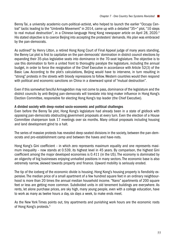Benny Tai, a university academic-cum-political-activist, who helped to launch the earlier "Occupy Central" tactic leading to the "Umbrella Movement" in 2014, came up with a detailed "35+" plot, "10 steps to real mutual destruction", in a Chinese-language Hong Kong newspaper article on April 28, 2020.<sup>3</sup> His stated objective is to coerce Beijing into accepting the protesters' demands. His plan was embraced by the pan-democrats.

As outlined<sup>4</sup> by Henry Litton, a retired Hong Kong Court of Final Appeal judge of many years standing, the Benny Lai plot is first to capitalize on the pan-democrats' domination in district council elections by expanding their 35-plus legislative seats into dominance in the 70-seat legislature. The objective is to use this domination to form a united front to thoroughly paralyze the legislature, including the annual budget, in order to force the resignation of the Chief Executive in accordance with Article 52(3) of the Basic Law. According to the plot's calculations, Beijing would have to intervene, in turn resulting in "strong" protests in the streets with bloody repressions to follow. Western countries would then respond with political and economic sanctions on China in a downward spiral of "mutual destruction".

Even if this somewhat fanciful Armageddon may not come to pass, dominance of the legislature and the district councils by anti-Beijing pan-democrats will translate into king-maker influence in Hong Kong's Election Committee, responsible for electing Hong Kong's top leader (the Chief Executive).

#### A divided society with deep-rooted socio-economic and political challenges

Even before the Benny Tai plot, Hong Kong's legislature had already been in a state of gridlock with opposing pan-democrats obstructing government proposals at every turn. Even the election of a House Committee chairperson took 17 meetings over six months. Many critical proposals including housing and land development grind to a halt.

The series of massive protests has revealed deep-seated divisions in the society, between the pan-democrats and pro-establishment camp and between the haves and have-nots.

Hong Kong's Gini coefficient – in which zero represents maximum equality and one represents maximum inequality – now stands at 0.539, its highest level in 45 years. By comparison, the highest Gini coefficient among the major developed economies is 0.411 (in the US). The economy is dominated by an oligarchy of big businesses enjoying unrivalled positions in many sectors. The economic base is also extremely narrow, skewed towards property and finance. Upward mobility is seriously eroded.

The tip of the iceberg of the economic divide is housing. Hong Kong's housing property is fiendishly expensive. The median price of a small apartment of a few hundred square feet in an ordinary neighbourhood is more than 20 times the annual median household income. "Nano" apartments of 200 square feet or less are getting more common. Subdivided units in old tenement buildings are everywhere. As rents, let alone purchase prices, are sky high, many young people, even with a college education, have to work as many as twelve hours a day, six days a week, to make ends meet.

As the New York Times points out, tiny apartments and punishing work hours are the economic roots of Hong Kong's protests.<sup>5</sup>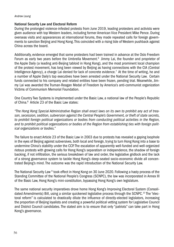#### National Security Law and Electoral Reform

During the prolonged violence-infested protests from June 2019, leading protesters and activists were given audience with top Western leaders, including former American Vice President Mike Pence. During overseas visits and appearances at international forums, they made repeated calls for foreign governments to sanction Beijing and Hong Kong. This coincided with a rising tide of Western pushback against China across the board.

Additionally, evidence emerged that some protesters had been trained in advance at the Oslo Freedom Forum as early two years before the Umbrella Movement.<sup>6</sup> Jimmy Lai, the founder and proprietor of the Apple Daily (a leading anti-Beijing tabloid in Hong Kong), and the most prominent local champion of the protest movement, has long been viewed by Beijing as having connections with the CIA (Central Intelligence Agency), a charge Lai denied for lack of concrete evidence.<sup>7</sup> At the time of writing, he and a number of Apple Daily's top executives have been arrested under the National Security Law. Certain funds connected to his company and related entities have been frozen, pending trial. Meanwhile, Jimmy Lai was awarded the Truman-Reagan Medal of Freedom by America's anti-communist organization Victims of Communism Memorial Foundation.

One Country Two Systems is implemented under the Basic Law, a national law of the People's Republic of China.8 Article 23 of the Basic Law states:

*"The Hong Kong Special Administrative Region shall enact laws on its own to prohibit any act of treason, secession, sedition, subversion against the Central People's Government, or theft of state secrets, to prohibit foreign political organizations or bodies from conducting political activities in the Region, and to prohibit political organizations or bodies of the Region from establishing ties with foreign political organizations or bodies."*

The failure to enact Article 23 of the Basic Law in 2003 due to protests has revealed a gaping loophole in the eyes of Beijing against subversives, both local and foreign, trying to turn Hong Kong into a base to undermine China's stability under the CCP. The escalation of apparently well-funded and well-organized riotous protests with growing calls for Hong Kong's separatism or independence, the shadow of foreign backing, if not infiltration, the serious breakdown of law and order, the legislative gridlock and the lack of a strong governance system to tackle Hong Kong's deep-seated socio-economic divide all concentrated Beijing's mind. The outcome was the rapid introduction of the National Security Law.

The National Security Law <sup>9</sup> took effect in Hong Kong on 30 June 2020. Following a hasty process of the Standing Committee of the National People's Congress (SCNPC), the law was incorporated in Annex III of the Basic Law, Hong Kong's mini-constitution, bypassing Hong Kong's own legislature.

The same national security imperatives drove home Hong Kong's Improving Electoral System (Consolidated Amendments) Bill, using a similar quickened legislative process through the SCNPC.<sup>10</sup> The "electoral reform" is calculated to drastically dilute the influence of directly-elected legislators, increasing the proportion of Beijing loyalists and creating a powerful political vetting system for Legislative Council and District Council candidates. The stated aim is to ensure that only "patriots" can take part in Hong Kong's governance.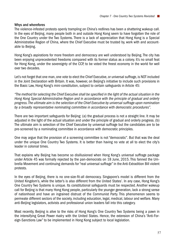#### Whys and wherefores

The violence-infested protests openly trampling on China's redlines has been a shattering wakeup call. In the eyes of Beijing, many people both in and outside Hong Kong seem to have forgotten the role of the One Country under the Two Systems. There is a lack of appreciation that Hong Kong is a Special Administrative Region of China, where the Chief Executive must be trusted by, work with and accountable to Beijing.

Hong Kong's aspirations for more freedom and democracy are well understood by Beijing. The city has been enjoying unprecedented freedoms compared with its former status as a colony. It's no small feat for Hong Kong, under the sovereignty of the CCP, to be voted the freest economy in the world for well over two decades.

Let's not forget that one man, one vote to elect the Chief Executive, or universal suffrage, is NOT included in the Joint Declaration with Britain. It was, however, on Beijing's initiative to include such provisions in the Basic Law, Hong Kong's mini-constitution, subject to certain safeguards in Article 45:

*"The method for selecting the Chief Executive shall be specified in the light of the actual situation in the Hong Kong Special Administrative Region and in accordance with the principle of gradual and orderly progress. The ultimate aim is the selection of the Chief Executive by universal suffrage upon nomination by a broadly representative nominating committee in accordance with democratic procedures".*

There are two important safeguards for Beijing: (a) the gradual process is not a straight line. It may be adjusted in the light of the actual situation and under the principle of gradual and orderly progress. (b) The ultimate aim is selection of the Chief Executive by universal suffrage but the candidates are to be pre-screened by a nominating committee in accordance with democratic principles.

One may argue that the provision of a screening committee is not "democratic". But that was the deal under the unique One Country Two Systems. It is better than having no vote at all to elect the city's leader in colonial times.

That explains why Beijing has become so disillusioned when Hong Kong's universal suffrage package under Article 45 was formally rejected by the pan-democrats on 18 June, 2015. This fanned the Umbrella Movement and continuing demands for "real universal suffrage" in the Anti-Extradition Bill violent protests.

In the eyes of Beijing, there is no one-size-fit-all democracy. Singapore's model is different from the United Kingdom's, while the latter's is also different from the United States'. In any case, Hong Kong's One Country Two Systems is unique. Its constitutional safeguards must be respected. Another wakeup call for Beijing is that many Hong Kong people, particularly the younger generation, lack a strong sense of nationhood and have an ingrained distrust of the Communist Party. This phenomenon seems to permeate different sectors of the society, including education, legal, medical, labour and welfare. Many anti-Beijing legislators, activists and professional union leaders fall into this category.

Most recently, Beijing is alive to the risks of Hong Kong's One Country Two Systems being a pawn in the intensifying Great Power rivalry with the United States. Hence, the extension of China's "Anti-Foreign-Sanctions Law" to be implemented in Hong Kong subject to local legislation.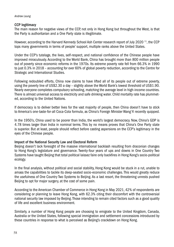#### CCP legitimacy

The main reason for negative views of the CCP, not only in Hong Kong but throughout the West, is that the Party is authoritarian and a One Party state is illegitimate.

However, according to the Harvard Kennedy School Ash Center research report of July 2020<sup>11</sup>, the CCP tops many governments in terms of people' support, multiple ranks above the United States.

Under the CCP's tutelage, the lives, self-respect, and national confidence of the Chinese people have improved miraculously. According to the World Bank, China has brought more than 800 million people out of poverty since economic reforms in the 1970s. Its extreme poverty rate fell from 66.3% in 1990 to just 0.3% in 2018 – accounting for over 60% of global poverty reduction, according to the Centre for Strategic and International Studies.

Following redoubled efforts, China now claims to have lifted all of its people out of extreme poverty, using the poverty line of US\$2.30 a day – slightly above the World Bank's lowest threshold of US\$1.90. Nearly everyone completes compulsory schooling, matching the average level in high-income countries. There is almost universal access to electricity and safe drinking water. Child mortality rate has plummeted, according to the United Nations.

If democracy is to deliver better lives for the vast majority of people, then China doesn't have to stick to America's one-taste-for-all Coca-Cola formula, as China's Foreign Minister Wang Yi recently quipped.

In the 1950's, China used to be poorer than India, the world's largest democracy. Now, China's GDP is 4.78 times larger than India in nominal terms. This by no means proves that China's One Party state is superior. But at least, people should reflect before casting aspersions on the CCP's legitimacy in the eyes of the Chinese people.

#### Impact of the National Security Law and Electoral Reform

Beijing doesn't lack foresight of the massive international backlash resulting from draconian changes to Hong Kong's legislature and governance. Twenty-four years of ups and downs in One Country Two Systems have taught Beijing that total political laissez faire only backfires in Hong Kong's socio-political ecology.

In the final analysis, without political and social stability, Hong Kong would be stuck in a rut, unable to amass the capabilities to tackle its deep-seated socio-economic challenges. This would greatly reduce the usefulness of One Country Two Systems to Beijing. As a last resort, the threatening unrests pushed Beijing to opt for major surgery, at the cost of some pain.

According to the American Chamber of Commerce in Hong Kong in May 2021, 42% of respondents are considering or planning to leave Hong Kong, with 62.3% citing their discomfort with the controversial national security law imposed by Beijing. Those intending to remain cited factors such as a good quality of life and excellent business environment.

Similarly, a number of Hong Kong people are choosing to emigrate to the United Kingdom, Canada, Australia or the United States, following special immigration and settlement concessions introduced by these countries in response to what is perceived as Beijing's crackdown on Hong Kong.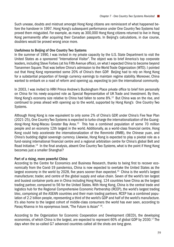Such unease, doubts and mistrust amongst Hong Kong citizens are reminiscent of what happened before the handover in 1997. Hong Kong's subsequent performance under One Country Two Systems had proved them misguided. For example, as many as 300,000 Hong Kong citizens returned to live in Hong Kong permanently after acquiring their Canadian passports. In Beijing's calculations, in due course, doubters would be proved wrong once more.

#### Usefulness to Beijing of One Country Two Systems

In the summer of 1990, I was invited in my private capacity by the U.S. State Department to visit the United States as a sponsored "International Visitor". The object was to brief America's top corporate leaders, including Steve Forbes (at his Fifth Avenue office), on what I expected China to become beyond Tiananmen Square. That was before China's admission to the World Trade Organization (WTO). I pointed out that Hong Kong represented some 20% of China's then GDP. Beijing had to rely on Hong Kong for a substantial proportion of foreign currency earnings to maintain regime stability. Moreover, China wanted to embark on a road of reform and opening up, expecting to join the international community.

In 2003, I was invited to HRH Prince Andrew's Buckingham Place private office to brief him personally on China for his newly-acquired role as Special Representative of UK Trade and Investment. By then, Hong Kong's economy size relative to China had fallen to some 8%.<sup>12</sup> But China was on the rise, and continued to press ahead with opening up to the world, supported by Hong Kong's One Country Two Systems.

Although Hong Kong is now equivalent to only some 2% of China's GDP, under China's Five Year Plan (2021-25), One Country Two Systems is expected to turbo-charge the internationalization of the Guangdong-Hong Kong-Macau Greater Bay Area.13 This has a combined population of some 70 million people and an economy 12th largest in the world. Additionally, as a world-class financial centre, Hong Kong could help accelerate the internationalization of the Renminbi (RMB), the Chinese yuan, and China's budding digital sovereign currency. Likewise, Hong Kong is expected to play a pivotal role as a fund-raising international financial centre and a regional arbitration centre for China's global Belt and Road Initiative.14 In the final analysis, absent One Country Two Systems, what is the point if Hong Kong becomes just a smaller Shanghai?

#### Part of a rising, more powerful China

According to the Centre for Economics and Business Research, thanks to being first to recover economically from the Covid-19 pandemics, China is now expected to overtake the United States as the largest economy in the world by 2028, five years sooner than expected.<sup>15</sup> China is the world's largest manufacturer, trader, and centre of the global supply and value chain. Seven of the world's ten largest and busiest container ports are in China including Hong Kong. 124 countries have China as the largest trading partner, compared to 56 for the United States. With Hong Kong, China is the central trade and logistics hub for the Regional Comprehensive Economic Partnership (RCEP), the world's largest trading bloc, comprising all the ASEAN countries and their main trading partners. RCEP has a combined population of 2.2 billion people, representing a third of the world's GDP and half of the world's manufacture. It's also home to the largest cohort of middle-class consumers the world has ever seen, according to Paraq Khanna in his eponymous book, "The Future is Asian" 16.

According to the Organization for Economic Cooperation and Development (OECD), the developing economies, of which China is the largest, are expected to represent 60% of global GDP by 2030.<sup>17</sup> The days when the so-called G7 advanced countries called all the shots are long gone.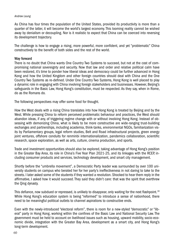#### *Andrew Leung*

As China has four times the population of the United States, provided its productivity is more than a quarter of the latter, it will become the world's largest economy. This looming reality cannot be wished away by denialism or decoupling. Nor is it realistic to expect that China can be coerced into reversing its development trajectory.

The challenge is how to engage a rising, more powerful, more confident, and yet "problematic" China constructively to the benefit of both sides and the rest of the world.

#### Way forward

There is no doubt that China wants One Country Two Systems to succeed, but not at the cost of compromising national sovereignty and security. Now that law and order and relative political calm have been restored, it's time to ponder how liberal ideas and democracy could be further advanced in Hong Kong and how the United Kingdom and other foreign countries should deal with China and the One Country Two Systems as re-defined. Under One Country Two Systems, Hong Kong is well placed to play a dynamic role in engaging with China involving foreign stakeholders and businesses. However, Beijing's safeguards in the Basic Law, Hong Kong's constitution, must be respected. As they say, when in Rome, do as the Romans do.

The following perspectives may offer some food for thought.

How the West deals with a rising China translates into how Hong Kong is treated by Beijing and by the West. While pressing China to reform perceived problematic behaviour and practices, the West should abandon ideas, if any, of triggering regime change with or without involving Hong Kong. Instead of obsessing with demonizing China, what is likely to be more constructive are wide-ranging trust-building exchanges and partnerships, including academia, think-tanks, environmental NGOs, familiarization visits by Parliamentary groups, legal reform studies, Belt and Road infrastructural projects, green energy joint ventures, offshore conduits for renminbi internationalization, pandemics collaboration, scientific research, space exploration, as well as arts, culture, cinema production, and sports.

Trade and investment opportunities should also be explored, taking advantage of Hong Kong's position in the Greater Bay Area, its role in China's Five Year Plan 2021-25, and its linkages with the RCEP, including consumer products and services, technology development, and smart city management.

Shortly before the "umbrella movement", a Democratic Party leader was surrounded by over 100 university students on campus who berated her for her party's ineffectiveness in not daring to take to the streets. I later asked some of the students if they wanted a revolution. Shocked to hear them reply in the affirmative, I asked how it would succeed. They said they didn't care: that was the spirit that overthrew the Qing dynasty.

This defiance, now subdued or repressed, is unlikely to disappear, only waiting for the next flashpoint.<sup>18</sup> While Hong Kong's education system is being "reformed" to introduce a sense of nationhood, there need to be meaningful political outlets to channel aspirations to constructive ends.

Even with the newly-introduced "electoral reform", there is room for a new-styled "democratic" or "liberal" party in Hong Kong, working within the confines of the Basic Law and National Security Law. The government must be held to account on livelihood issues such as housing, upward mobility, socio-economic divide, integration with the Greater Bay Area, development as a smart city, and Hong Kong's long-term development.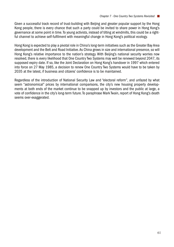Given a successful track record of trust-building with Beijing and greater popular support by the Hong Kong people, there is every chance that such a party could be invited to share power in Hong Kong's governance at some point in time. To young activists, instead of tilting at windmills, this could be a rightful channel to achieve self-fulfilment with meaningful change in Hong Kong's political ecology.

Hong Kong is expected to play a pivotal role in China's long-term initiatives such as the Greater Bay Area development and the Belt and Road Initiative. As China grows in size and international presence, so will Hong Kong's relative importance to the nation's strategy. With Beijing's national security worries now resolved, there is every likelihood that One Country Two Systems may well be renewed beyond 2047, its supposed expiry date. If so, like the Joint Declaration on Hong Kong's handover in 1997 which entered into force on 27 May 1985, a decision to renew One Country Two Systems would have to be taken by 2035 at the latest, if business and citizens' confidence is to be maintained.

Regardless of the introduction of National Security Law and "electoral reform", and unfazed by what seem "astronomical" prices by international comparisons, the city's new housing property developments at both ends of the market continue to be snapped up by investors and the public at large, a vote of confidence in the city's long-term future. To paraphrase Mark Twain, report of Hong Kong's death seems over-exaggerated.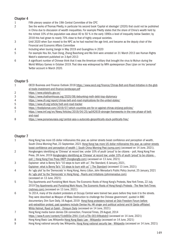#### Chapter 4

- 1 Fifth plenary session of the 19th Central Committee of the CPC
- 2 See the works of Thomas Piketty, in particular his second book 'Capital et ideologie' (2020) that could not be published in China due to discussion of wealth inequalities. For example Piketty states that the share of China's wealth held by the richest 10% of the population was about 40 to 50 % in the early 1990s a level of inequality below Sweden; by 2018 this had grown to nearly 70% close to that of highly unequal societies.
- 3 Until 2020 when Sun moved to the NPC as he had reached the age limit, and became as the deputy chair of the Financial and Economic Affairs Committee
- 4 Including when touring Jiangxi in May 2019 and Guangzhou in 2020
- 5 For example Hou Xin, Yuan Dong, Zhang Baocheng and Ma Xinli were arrested on 31 March 2013 see Human Rights Watch's statement published on 3 April 2013
- 6 A significant number of Chinese think that it was the American military that brought the virus to Wuhun during the World Military Games in October 2019. That idea was widespread by MFA spokesperson Zhao Lijian on his 'personal' Twitter account in March 2020.

#### Chapter 5

| 1 | OECD Business and Finance Outlook 2018 https://www.oecd.org/finance/Chinas-Belt-and-Road-Initiative-in-the-glob |
|---|-----------------------------------------------------------------------------------------------------------------|
|   | al-trade-investment-and-finance-landscape.pdf                                                                   |
| 2 | https://www.yidaiyilu.gov.cn/                                                                                   |
| 3 | https://www.chathamhouse.org/2020/08/debunking-myth-debt-trap-diplomacy                                         |
| 4 | https://www.cfr.org/report/chinas-belt-and-road-implications-for-the-united-states/                             |
| 5 | https://www.cfr.org/article/belt-and-road-tracker                                                               |
| 6 | https://thediplomat.com/2019/07/which-countries-are-for-or-against-chinas-xinjiang-policies/                    |
|   | https://www.imf.org/en/News/Articles/2019/04/25/sp042619-stronger-frameworks-in-the-new-phase-of-belt-          |
|   | and-road                                                                                                        |
| 8 | https://www.ponarseurasia.org/central-asia-s-autocrats-geopolitically-stuck-politically-free/                   |

#### Chapter 7

| $\mathbf{1}$ | Hong Kong has more US dollar millionaires this year, as calmer streets boost confidence and perception of wealth,     |
|--------------|-----------------------------------------------------------------------------------------------------------------------|
|              | South China Morning Post, 23 September, 2021 Hong Kong has more US dollar millionaires this year, as calmer streets   |
|              | boost confidence and perception of wealth   South China Morning Post (scmp.com) (accessed on 14 June, 2021).          |
| 2            | Hongkongers identifying as 'Chinese' at record low; under 10% of youth 'proud' to be citizens - poll, Hong Kong Free  |
|              | Press, 28 June, 2019 Hongkongers identifying as 'Chinese' at record low; under 10% of youth 'proud' to be citizens -  |
|              | poll   Hong Kong Free Press HKFP (hongkongfp.com) (accessed on 13 June, 2021)                                         |
| 3            | Explainer: what is Benny Tai's "10 steps to burn with us", The Standard, 6 January, 2021,                             |
|              | Explainer: what is Benny Tai's "10 steps to burn with us"   The Standard (accessed 13 June, 2021)                     |
| 4            | An 'ugly plot' by the 'Democrats' in Hong Kong, Henry Litton, John Menadue's Public Policy Journal, 25 January, 2021  |
|              | An 'ugly plot' by the 'Democrats' in Hong Kong - Pearls and Irritations (johnmenadue.com)                             |
|              | (accessed on 13 June, 2021)                                                                                           |
| 5            | Tiny Apartments and Punishing Work Hours: The Economic Roots of Hong Kong's Protests, New York Times, 22 July,        |
|              | 2019 Tiny Apartments and Punishing Work Hours: The Economic Roots of Hong Kong's Protests - The New York Times        |
|              | (nytimes.com) (accessed on 13 June, 2021)                                                                             |
| 6            | 'In 2014, many of the student protesters at Occupy Central were trained two years before they took it to the streets. |
|              | They were described as Weapon of Mass Destruction to challenge the Chinese government', quoted in BBC                 |
|              | documentary. Dim Sum Daily, 16 August, 2019 Hong Kong protesters trained at Oslo Freedom Forum before                 |
|              | anti-extradition protest, past speakers include Denise Ho, HK singer and political activist and AI Qaida affiliated   |
|              | White Helmet, Raed al-Saleh - Dimsum Daily (accessed on 14 June, 2021)                                                |
| 7            | Hong Kong media baron denies CIA connection, Financial Times, 29 August, 2014                                         |
|              | https://www.ft.com/content/f1cb693e-2f44-11e4-a79c-00144feabdc0 (accessed on 14 June, 2021)                           |
| 8            | Hong Kong Basic Law, Wikipedia Hong Kong Basic Law - Wikipedia (accessed on 14 June, 2021)                            |
| 9            | Hong Kong national security law, Wikipedia, Hong Kong national security law - Wikipedia (accessed on 14 June, 2021)   |